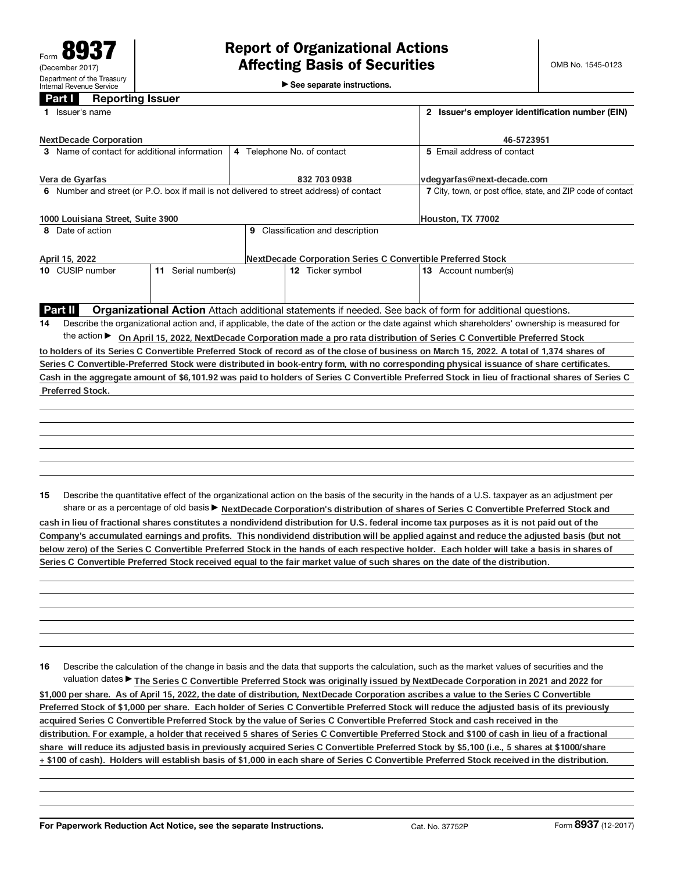$\blacktriangleright$  See separate instructions.

## Part **I** Reporting Issuer

| 1 Issuer's name                                                                         | 2 Issuer's employer identification number (EIN)              |                                                                                                                                                 |  |
|-----------------------------------------------------------------------------------------|--------------------------------------------------------------|-------------------------------------------------------------------------------------------------------------------------------------------------|--|
| <b>NextDecade Corporation</b>                                                           | 46-5723951                                                   |                                                                                                                                                 |  |
| 3 Name of contact for additional information                                            | 4 Telephone No. of contact                                   | 5 Email address of contact                                                                                                                      |  |
| Vera de Gyarfas                                                                         | 832 703 0938                                                 | vdegyarfas@next-decade.com                                                                                                                      |  |
| 6 Number and street (or P.O. box if mail is not delivered to street address) of contact | 7 City, town, or post office, state, and ZIP code of contact |                                                                                                                                                 |  |
| 1000 Louisiana Street, Suite 3900                                                       | Houston, TX 77002                                            |                                                                                                                                                 |  |
| 8 Date of action                                                                        |                                                              |                                                                                                                                                 |  |
| April 15, 2022                                                                          | NextDecade Corporation Series C Convertible Preferred Stock  |                                                                                                                                                 |  |
| 11 Serial number(s)<br>10 CUSIP number                                                  | 12 Ticker symbol                                             | 13 Account number(s)                                                                                                                            |  |
|                                                                                         |                                                              |                                                                                                                                                 |  |
| Part II                                                                                 |                                                              | <b>Organizational Action</b> Attach additional statements if needed. See back of form for additional questions.                                 |  |
| 14                                                                                      |                                                              | Describe the organizational action and, if applicable, the date of the action or the date against which shareholders' ownership is measured for |  |
|                                                                                         |                                                              | the action ► On April 15, 2022, NextDecade Corporation made a pro rata distribution of Series C Convertible Preferred Stock                     |  |
|                                                                                         |                                                              | to holders of its Series C Convertible Preferred Stock of record as of the close of business on March 15, 2022. A total of 1,374 shares of      |  |
|                                                                                         |                                                              | Series C Convertible-Preferred Stock were distributed in book-entry form, with no corresponding physical issuance of share certificates.        |  |
|                                                                                         |                                                              | Cash in the aggregate amount of \$6,101.92 was paid to holders of Series C Convertible Preferred Stock in lieu of fractional shares of Series C |  |
| <b>Preferred Stock.</b>                                                                 |                                                              |                                                                                                                                                 |  |
|                                                                                         |                                                              |                                                                                                                                                 |  |
|                                                                                         |                                                              |                                                                                                                                                 |  |
|                                                                                         |                                                              |                                                                                                                                                 |  |
|                                                                                         |                                                              |                                                                                                                                                 |  |
|                                                                                         |                                                              |                                                                                                                                                 |  |
|                                                                                         |                                                              |                                                                                                                                                 |  |
| 15                                                                                      |                                                              | Describe the quantitative effect of the organizational action on the basis of the security in the hands of a U.S. taxpayer as an adjustment per |  |
|                                                                                         |                                                              | share or as a percentage of old basis > NextDecade Corporation's distribution of shares of Series C Convertible Preferred Stock and             |  |

cash in lieu of fractional shares constitutes a nondividend distribution for U.S. federal income tax purposes as it is not paid out of the Company's accumulated earnings and profits. This nondividend distribution will be applied against and reduce the adjusted basis (but not below zero) of the Series C Convertible Preferred Stock in the hands of each respective holder. Each holder will take a basis in shares of Series C Convertible Preferred Stock received equal to the fair market value of such shares on the date of the distribution.

16 Describe the calculation of the change in basis and the data that supports the calculation, such as the market values of securities and the valuation dates▶ The Series C Convertible Preferred Stock was originally issued by NextDecade Corporation in 2021 and 2022 for \$1,000 per share. As of April 15, 2022, the date of distribution, NextDecade Corporation ascribes a value to the Series C Convertible Preferred Stock of \$1,000 per share. Each holder of Series C Convertible Preferred Stock will reduce the adjusted basis of its previously acquired Series C Convertible Preferred Stock by the value of Series C Convertible Preferred Stock and cash received in the distribution. For example, a holder that received 5 shares of Series C Convertible Preferred Stock and \$100 of cash in lieu of a fractional share will reduce its adjusted basis in previously acquired Series C Convertible Preferred Stock by \$5,100 (i.e., 5 shares at \$1000/share + \$100 of cash). Holders will establish basis of \$1,000 in each share of Series C Convertible Preferred Stock received in the distribution.